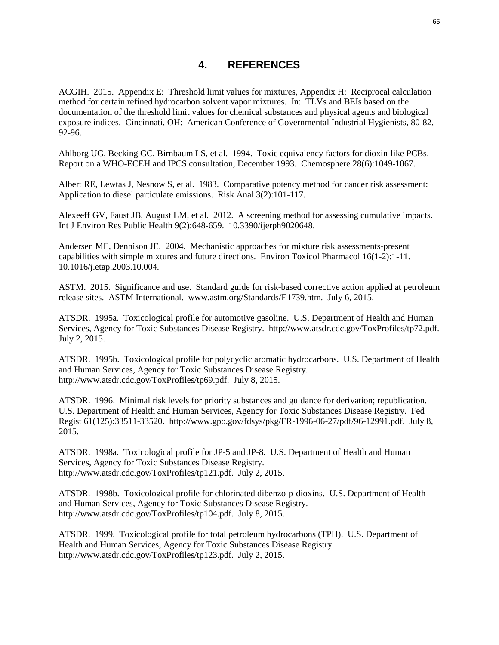## **4. REFERENCES**

ACGIH. 2015. Appendix E: Threshold limit values for mixtures, Appendix H: Reciprocal calculation method for certain refined hydrocarbon solvent vapor mixtures. In: TLVs and BEIs based on the documentation of the threshold limit values for chemical substances and physical agents and biological exposure indices. Cincinnati, OH: American Conference of Governmental Industrial Hygienists, 80-82, 92-96.

Ahlborg UG, Becking GC, Birnbaum LS, et al. 1994. Toxic equivalency factors for dioxin-like PCBs. Report on a WHO-ECEH and IPCS consultation, December 1993. Chemosphere 28(6):1049-1067.

Albert RE, Lewtas J, Nesnow S, et al. 1983. Comparative potency method for cancer risk assessment: Application to diesel particulate emissions. Risk Anal 3(2):101-117.

Alexeeff GV, Faust JB, August LM, et al. 2012. A screening method for assessing cumulative impacts. Int J Environ Res Public Health 9(2):648-659. 10.3390/ijerph9020648.

Andersen ME, Dennison JE. 2004. Mechanistic approaches for mixture risk assessments-present capabilities with simple mixtures and future directions. Environ Toxicol Pharmacol 16(1-2):1-11. 10.1016/j.etap.2003.10.004.

ASTM. 2015. Significance and use. Standard guide for risk-based corrective action applied at petroleum release sites. ASTM International. www.astm.org/Standards/E1739.htm. July 6, 2015.

ATSDR. 1995a. Toxicological profile for automotive gasoline. U.S. Department of Health and Human Services, Agency for Toxic Substances Disease Registry. http://www.atsdr.cdc.gov/ToxProfiles/tp72.pdf. July 2, 2015.

ATSDR. 1995b. Toxicological profile for polycyclic aromatic hydrocarbons. U.S. Department of Health and Human Services, Agency for Toxic Substances Disease Registry. http://www.atsdr.cdc.gov/ToxProfiles/tp69.pdf. July 8, 2015.

ATSDR. 1996. Minimal risk levels for priority substances and guidance for derivation; republication. U.S. Department of Health and Human Services, Agency for Toxic Substances Disease Registry. Fed Regist 61(125):33511-33520. http://www.gpo.gov/fdsys/pkg/FR-1996-06-27/pdf/96-12991.pdf. July 8, 2015.

ATSDR. 1998a. Toxicological profile for JP-5 and JP-8. U.S. Department of Health and Human Services, Agency for Toxic Substances Disease Registry. http://www.atsdr.cdc.gov/ToxProfiles/tp121.pdf. July 2, 2015.

ATSDR. 1998b. Toxicological profile for chlorinated dibenzo-p-dioxins. U.S. Department of Health and Human Services, Agency for Toxic Substances Disease Registry. http://www.atsdr.cdc.gov/ToxProfiles/tp104.pdf. July 8, 2015.

ATSDR. 1999. Toxicological profile for total petroleum hydrocarbons (TPH). U.S. Department of Health and Human Services, Agency for Toxic Substances Disease Registry. http://www.atsdr.cdc.gov/ToxProfiles/tp123.pdf. July 2, 2015.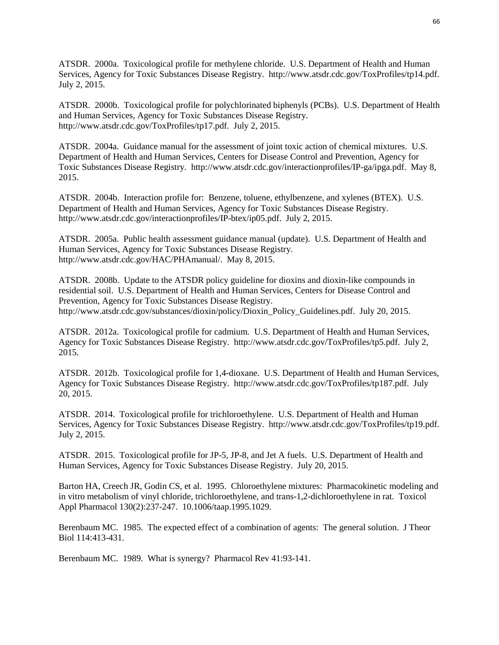ATSDR. 2000a. Toxicological profile for methylene chloride. U.S. Department of Health and Human Services, Agency for Toxic Substances Disease Registry. http://www.atsdr.cdc.gov/ToxProfiles/tp14.pdf. July 2, 2015.

ATSDR. 2000b. Toxicological profile for polychlorinated biphenyls (PCBs). U.S. Department of Health and Human Services, Agency for Toxic Substances Disease Registry. http://www.atsdr.cdc.gov/ToxProfiles/tp17.pdf. July 2, 2015.

ATSDR. 2004a. Guidance manual for the assessment of joint toxic action of chemical mixtures. U.S. Department of Health and Human Services, Centers for Disease Control and Prevention, Agency for Toxic Substances Disease Registry. http://www.atsdr.cdc.gov/interactionprofiles/IP-ga/ipga.pdf. May 8, 2015.

ATSDR. 2004b. Interaction profile for: Benzene, toluene, ethylbenzene, and xylenes (BTEX). U.S. Department of Health and Human Services, Agency for Toxic Substances Disease Registry. http://www.atsdr.cdc.gov/interactionprofiles/IP-btex/ip05.pdf. July 2, 2015.

ATSDR. 2005a. Public health assessment guidance manual (update). U.S. Department of Health and Human Services, Agency for Toxic Substances Disease Registry. http://www.atsdr.cdc.gov/HAC/PHAmanual/. May 8, 2015.

ATSDR. 2008b. Update to the ATSDR policy guideline for dioxins and dioxin-like compounds in residential soil. U.S. Department of Health and Human Services, Centers for Disease Control and Prevention, Agency for Toxic Substances Disease Registry. http://www.atsdr.cdc.gov/substances/dioxin/policy/Dioxin\_Policy\_Guidelines.pdf. July 20, 2015.

ATSDR. 2012a. Toxicological profile for cadmium. U.S. Department of Health and Human Services, Agency for Toxic Substances Disease Registry. http://www.atsdr.cdc.gov/ToxProfiles/tp5.pdf. July 2, 2015.

ATSDR. 2012b. Toxicological profile for 1,4-dioxane. U.S. Department of Health and Human Services, Agency for Toxic Substances Disease Registry. http://www.atsdr.cdc.gov/ToxProfiles/tp187.pdf. July 20, 2015.

ATSDR. 2014. Toxicological profile for trichloroethylene. U.S. Department of Health and Human Services, Agency for Toxic Substances Disease Registry. http://www.atsdr.cdc.gov/ToxProfiles/tp19.pdf. July 2, 2015.

ATSDR. 2015. Toxicological profile for JP-5, JP-8, and Jet A fuels. U.S. Department of Health and Human Services, Agency for Toxic Substances Disease Registry. July 20, 2015.

Barton HA, Creech JR, Godin CS, et al. 1995. Chloroethylene mixtures: Pharmacokinetic modeling and in vitro metabolism of vinyl chloride, trichloroethylene, and trans-1,2-dichloroethylene in rat. Toxicol Appl Pharmacol 130(2):237-247. 10.1006/taap.1995.1029.

Berenbaum MC. 1985. The expected effect of a combination of agents: The general solution. J Theor Biol 114:413-431.

Berenbaum MC. 1989. What is synergy? Pharmacol Rev 41:93-141.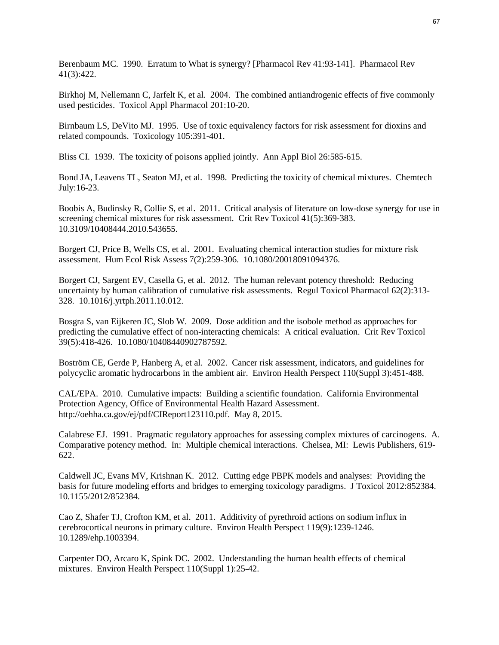Berenbaum MC. 1990. Erratum to What is synergy? [Pharmacol Rev 41:93-141]. Pharmacol Rev 41(3):422.

Birkhoj M, Nellemann C, Jarfelt K, et al. 2004. The combined antiandrogenic effects of five commonly used pesticides. Toxicol Appl Pharmacol 201:10-20.

Birnbaum LS, DeVito MJ. 1995. Use of toxic equivalency factors for risk assessment for dioxins and related compounds. Toxicology 105:391-401.

Bliss CI. 1939. The toxicity of poisons applied jointly. Ann Appl Biol 26:585-615.

Bond JA, Leavens TL, Seaton MJ, et al. 1998. Predicting the toxicity of chemical mixtures. Chemtech July:16-23.

Boobis A, Budinsky R, Collie S, et al. 2011. Critical analysis of literature on low-dose synergy for use in screening chemical mixtures for risk assessment. Crit Rev Toxicol 41(5):369-383. 10.3109/10408444.2010.543655.

Borgert CJ, Price B, Wells CS, et al. 2001. Evaluating chemical interaction studies for mixture risk assessment. Hum Ecol Risk Assess 7(2):259-306. 10.1080/20018091094376.

Borgert CJ, Sargent EV, Casella G, et al. 2012. The human relevant potency threshold: Reducing uncertainty by human calibration of cumulative risk assessments. Regul Toxicol Pharmacol 62(2):313- 328. 10.1016/j.yrtph.2011.10.012.

Bosgra S, van Eijkeren JC, Slob W. 2009. Dose addition and the isobole method as approaches for predicting the cumulative effect of non-interacting chemicals: A critical evaluation. Crit Rev Toxicol 39(5):418-426. 10.1080/10408440902787592.

Boström CE, Gerde P, Hanberg A, et al. 2002. Cancer risk assessment, indicators, and guidelines for polycyclic aromatic hydrocarbons in the ambient air. Environ Health Perspect 110(Suppl 3):451-488.

CAL/EPA. 2010. Cumulative impacts: Building a scientific foundation. California Environmental Protection Agency, Office of Environmental Health Hazard Assessment. http://oehha.ca.gov/ej/pdf/CIReport123110.pdf. May 8, 2015.

Calabrese EJ. 1991. Pragmatic regulatory approaches for assessing complex mixtures of carcinogens. A. Comparative potency method. In: Multiple chemical interactions. Chelsea, MI: Lewis Publishers, 619- 622.

Caldwell JC, Evans MV, Krishnan K. 2012. Cutting edge PBPK models and analyses: Providing the basis for future modeling efforts and bridges to emerging toxicology paradigms. J Toxicol 2012:852384. 10.1155/2012/852384.

Cao Z, Shafer TJ, Crofton KM, et al. 2011. Additivity of pyrethroid actions on sodium influx in cerebrocortical neurons in primary culture. Environ Health Perspect 119(9):1239-1246. 10.1289/ehp.1003394.

Carpenter DO, Arcaro K, Spink DC. 2002. Understanding the human health effects of chemical mixtures. Environ Health Perspect 110(Suppl 1):25-42.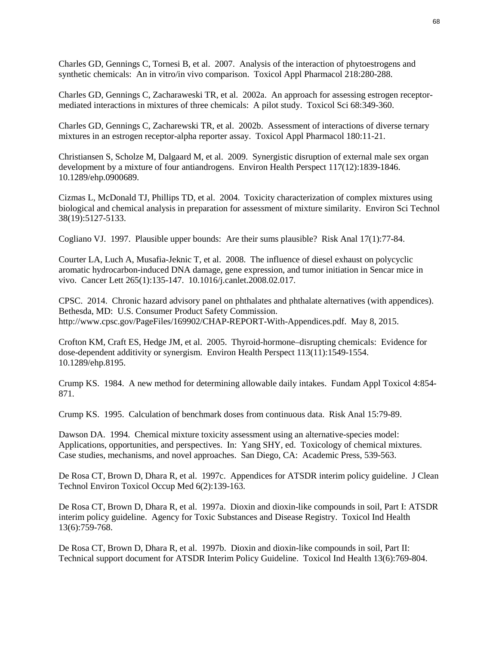Charles GD, Gennings C, Tornesi B, et al. 2007. Analysis of the interaction of phytoestrogens and synthetic chemicals: An in vitro/in vivo comparison. Toxicol Appl Pharmacol 218:280-288.

Charles GD, Gennings C, Zacharaweski TR, et al. 2002a. An approach for assessing estrogen receptormediated interactions in mixtures of three chemicals: A pilot study. Toxicol Sci 68:349-360.

Charles GD, Gennings C, Zacharewski TR, et al. 2002b. Assessment of interactions of diverse ternary mixtures in an estrogen receptor-alpha reporter assay. Toxicol Appl Pharmacol 180:11-21.

Christiansen S, Scholze M, Dalgaard M, et al. 2009. Synergistic disruption of external male sex organ development by a mixture of four antiandrogens. Environ Health Perspect 117(12):1839-1846. 10.1289/ehp.0900689.

Cizmas L, McDonald TJ, Phillips TD, et al. 2004. Toxicity characterization of complex mixtures using biological and chemical analysis in preparation for assessment of mixture similarity. Environ Sci Technol 38(19):5127-5133.

Cogliano VJ. 1997. Plausible upper bounds: Are their sums plausible? Risk Anal 17(1):77-84.

Courter LA, Luch A, Musafia-Jeknic T, et al. 2008. The influence of diesel exhaust on polycyclic aromatic hydrocarbon-induced DNA damage, gene expression, and tumor initiation in Sencar mice in vivo. Cancer Lett 265(1):135-147. 10.1016/j.canlet.2008.02.017.

CPSC. 2014. Chronic hazard advisory panel on phthalates and phthalate alternatives (with appendices). Bethesda, MD: U.S. Consumer Product Safety Commission. http://www.cpsc.gov/PageFiles/169902/CHAP-REPORT-With-Appendices.pdf. May 8, 2015.

Crofton KM, Craft ES, Hedge JM, et al. 2005. Thyroid-hormone–disrupting chemicals: Evidence for dose-dependent additivity or synergism. Environ Health Perspect 113(11):1549-1554. 10.1289/ehp.8195.

Crump KS. 1984. A new method for determining allowable daily intakes. Fundam Appl Toxicol 4:854- 871.

Crump KS. 1995. Calculation of benchmark doses from continuous data. Risk Anal 15:79-89.

Dawson DA. 1994. Chemical mixture toxicity assessment using an alternative-species model: Applications, opportunities, and perspectives. In: Yang SHY, ed. Toxicology of chemical mixtures. Case studies, mechanisms, and novel approaches. San Diego, CA: Academic Press, 539-563.

De Rosa CT, Brown D, Dhara R, et al. 1997c. Appendices for ATSDR interim policy guideline. J Clean Technol Environ Toxicol Occup Med 6(2):139-163.

De Rosa CT, Brown D, Dhara R, et al. 1997a. Dioxin and dioxin-like compounds in soil, Part I: ATSDR interim policy guideline. Agency for Toxic Substances and Disease Registry. Toxicol Ind Health 13(6):759-768.

De Rosa CT, Brown D, Dhara R, et al. 1997b. Dioxin and dioxin-like compounds in soil, Part II: Technical support document for ATSDR Interim Policy Guideline. Toxicol Ind Health 13(6):769-804.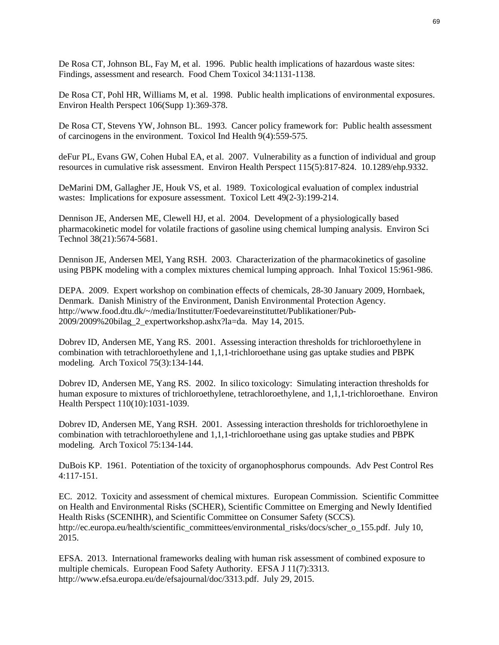De Rosa CT, Johnson BL, Fay M, et al. 1996. Public health implications of hazardous waste sites: Findings, assessment and research. Food Chem Toxicol 34:1131-1138.

De Rosa CT, Pohl HR, Williams M, et al. 1998. Public health implications of environmental exposures. Environ Health Perspect 106(Supp 1):369-378.

De Rosa CT, Stevens YW, Johnson BL. 1993. Cancer policy framework for: Public health assessment of carcinogens in the environment. Toxicol Ind Health 9(4):559-575.

deFur PL, Evans GW, Cohen Hubal EA, et al. 2007. Vulnerability as a function of individual and group resources in cumulative risk assessment. Environ Health Perspect 115(5):817-824. 10.1289/ehp.9332.

DeMarini DM, Gallagher JE, Houk VS, et al. 1989. Toxicological evaluation of complex industrial wastes: Implications for exposure assessment. Toxicol Lett 49(2-3):199-214.

Dennison JE, Andersen ME, Clewell HJ, et al. 2004. Development of a physiologically based pharmacokinetic model for volatile fractions of gasoline using chemical lumping analysis. Environ Sci Technol 38(21):5674-5681.

Dennison JE, Andersen MEl, Yang RSH. 2003. Characterization of the pharmacokinetics of gasoline using PBPK modeling with a complex mixtures chemical lumping approach. Inhal Toxicol 15:961-986.

DEPA. 2009. Expert workshop on combination effects of chemicals, 28-30 January 2009, Hornbaek, Denmark. Danish Ministry of the Environment, Danish Environmental Protection Agency. http://www.food.dtu.dk/~/media/Institutter/Foedevareinstituttet/Publikationer/Pub-2009/2009%20bilag\_2\_expertworkshop.ashx?la=da. May 14, 2015.

Dobrev ID, Andersen ME, Yang RS. 2001. Assessing interaction thresholds for trichloroethylene in combination with tetrachloroethylene and 1,1,1-trichloroethane using gas uptake studies and PBPK modeling. Arch Toxicol 75(3):134-144.

Dobrev ID, Andersen ME, Yang RS. 2002. In silico toxicology: Simulating interaction thresholds for human exposure to mixtures of trichloroethylene, tetrachloroethylene, and 1,1,1-trichloroethane. Environ Health Perspect 110(10):1031-1039.

Dobrev ID, Andersen ME, Yang RSH. 2001. Assessing interaction thresholds for trichloroethylene in combination with tetrachloroethylene and 1,1,1-trichloroethane using gas uptake studies and PBPK modeling. Arch Toxicol 75:134-144.

DuBois KP. 1961. Potentiation of the toxicity of organophosphorus compounds. Adv Pest Control Res 4:117-151.

EC. 2012. Toxicity and assessment of chemical mixtures. European Commission. Scientific Committee on Health and Environmental Risks (SCHER), Scientific Committee on Emerging and Newly Identified Health Risks (SCENIHR), and Scientific Committee on Consumer Safety (SCCS). http://ec.europa.eu/health/scientific\_committees/environmental\_risks/docs/scher\_o\_155.pdf. July 10, 2015.

EFSA. 2013. International frameworks dealing with human risk assessment of combined exposure to multiple chemicals. European Food Safety Authority. EFSA J 11(7):3313. http://www.efsa.europa.eu/de/efsajournal/doc/3313.pdf. July 29, 2015.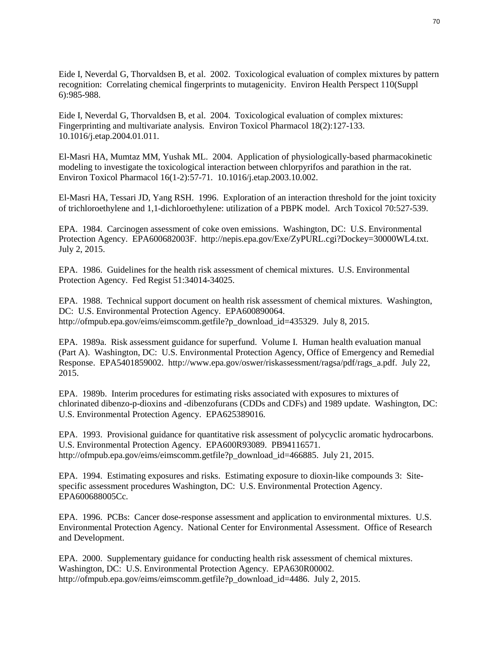Eide I, Neverdal G, Thorvaldsen B, et al. 2002. Toxicological evaluation of complex mixtures by pattern recognition: Correlating chemical fingerprints to mutagenicity. Environ Health Perspect 110(Suppl 6):985-988.

Eide I, Neverdal G, Thorvaldsen B, et al. 2004. Toxicological evaluation of complex mixtures: Fingerprinting and multivariate analysis. Environ Toxicol Pharmacol 18(2):127-133. 10.1016/j.etap.2004.01.011.

El-Masri HA, Mumtaz MM, Yushak ML. 2004. Application of physiologically-based pharmacokinetic modeling to investigate the toxicological interaction between chlorpyrifos and parathion in the rat. Environ Toxicol Pharmacol 16(1-2):57-71. 10.1016/j.etap.2003.10.002.

El-Masri HA, Tessari JD, Yang RSH. 1996. Exploration of an interaction threshold for the joint toxicity of trichloroethylene and 1,1-dichloroethylene: utilization of a PBPK model. Arch Toxicol 70:527-539.

EPA. 1984. Carcinogen assessment of coke oven emissions. Washington, DC: U.S. Environmental Protection Agency. EPA600682003F. http://nepis.epa.gov/Exe/ZyPURL.cgi?Dockey=30000WL4.txt. July 2, 2015.

EPA. 1986. Guidelines for the health risk assessment of chemical mixtures. U.S. Environmental Protection Agency. Fed Regist 51:34014-34025.

EPA. 1988. Technical support document on health risk assessment of chemical mixtures. Washington, DC: U.S. Environmental Protection Agency. EPA600890064. http://ofmpub.epa.gov/eims/eimscomm.getfile?p\_download\_id=435329. July 8, 2015.

EPA. 1989a. Risk assessment guidance for superfund. Volume I. Human health evaluation manual (Part A). Washington, DC: U.S. Environmental Protection Agency, Office of Emergency and Remedial Response. EPA5401859002. http://www.epa.gov/oswer/riskassessment/ragsa/pdf/rags\_a.pdf. July 22, 2015.

EPA. 1989b. Interim procedures for estimating risks associated with exposures to mixtures of chlorinated dibenzo-p-dioxins and -dibenzofurans (CDDs and CDFs) and 1989 update. Washington, DC: U.S. Environmental Protection Agency. EPA625389016.

EPA. 1993. Provisional guidance for quantitative risk assessment of polycyclic aromatic hydrocarbons. U.S. Environmental Protection Agency. EPA600R93089. PB94116571. http://ofmpub.epa.gov/eims/eimscomm.getfile?p\_download\_id=466885. July 21, 2015.

EPA. 1994. Estimating exposures and risks. Estimating exposure to dioxin-like compounds 3: Sitespecific assessment procedures Washington, DC: U.S. Environmental Protection Agency. EPA600688005Cc.

EPA. 1996. PCBs: Cancer dose-response assessment and application to environmental mixtures. U.S. Environmental Protection Agency. National Center for Environmental Assessment. Office of Research and Development.

EPA. 2000. Supplementary guidance for conducting health risk assessment of chemical mixtures. Washington, DC: U.S. Environmental Protection Agency. EPA630R00002. http://ofmpub.epa.gov/eims/eimscomm.getfile?p\_download\_id=4486. July 2, 2015.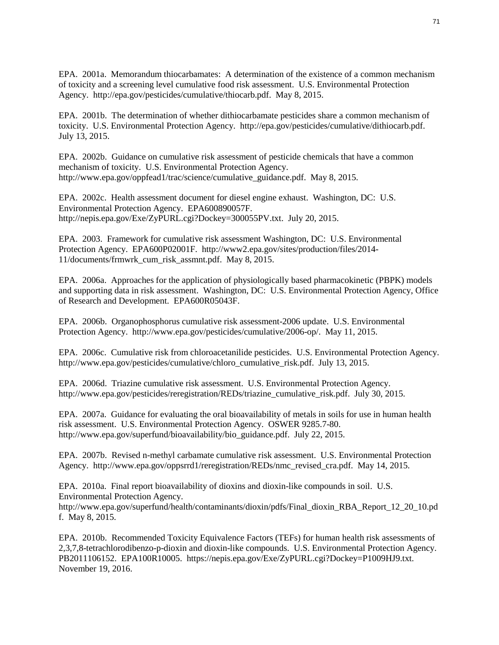EPA. 2001a. Memorandum thiocarbamates: A determination of the existence of a common mechanism of toxicity and a screening level cumulative food risk assessment. U.S. Environmental Protection Agency. http://epa.gov/pesticides/cumulative/thiocarb.pdf. May 8, 2015.

EPA. 2001b. The determination of whether dithiocarbamate pesticides share a common mechanism of toxicity. U.S. Environmental Protection Agency. http://epa.gov/pesticides/cumulative/dithiocarb.pdf. July 13, 2015.

EPA. 2002b. Guidance on cumulative risk assessment of pesticide chemicals that have a common mechanism of toxicity. U.S. Environmental Protection Agency. http://www.epa.gov/oppfead1/trac/science/cumulative\_guidance.pdf. May 8, 2015.

EPA. 2002c. Health assessment document for diesel engine exhaust. Washington, DC: U.S. Environmental Protection Agency. EPA600890057F. http://nepis.epa.gov/Exe/ZyPURL.cgi?Dockey=300055PV.txt. July 20, 2015.

EPA. 2003. Framework for cumulative risk assessment Washington, DC: U.S. Environmental Protection Agency. EPA600P02001F. http://www2.epa.gov/sites/production/files/2014- 11/documents/frmwrk\_cum\_risk\_assmnt.pdf. May 8, 2015.

EPA. 2006a. Approaches for the application of physiologically based pharmacokinetic (PBPK) models and supporting data in risk assessment. Washington, DC: U.S. Environmental Protection Agency, Office of Research and Development. EPA600R05043F.

EPA. 2006b. Organophosphorus cumulative risk assessment-2006 update. U.S. Environmental Protection Agency. http://www.epa.gov/pesticides/cumulative/2006-op/. May 11, 2015.

EPA. 2006c. Cumulative risk from chloroacetanilide pesticides. U.S. Environmental Protection Agency. http://www.epa.gov/pesticides/cumulative/chloro\_cumulative\_risk.pdf. July 13, 2015.

EPA. 2006d. Triazine cumulative risk assessment. U.S. Environmental Protection Agency. http://www.epa.gov/pesticides/reregistration/REDs/triazine cumulative risk.pdf. July 30, 2015.

EPA. 2007a. Guidance for evaluating the oral bioavailability of metals in soils for use in human health risk assessment. U.S. Environmental Protection Agency. OSWER 9285.7-80. http://www.epa.gov/superfund/bioavailability/bio\_guidance.pdf. July 22, 2015.

EPA. 2007b. Revised n-methyl carbamate cumulative risk assessment. U.S. Environmental Protection Agency. http://www.epa.gov/oppsrrd1/reregistration/REDs/nmc\_revised\_cra.pdf. May 14, 2015.

EPA. 2010a. Final report bioavailability of dioxins and dioxin-like compounds in soil. U.S. Environmental Protection Agency. http://www.epa.gov/superfund/health/contaminants/dioxin/pdfs/Final\_dioxin\_RBA\_Report\_12\_20\_10.pd

f. May 8, 2015.

EPA. 2010b. Recommended Toxicity Equivalence Factors (TEFs) for human health risk assessments of 2,3,7,8-tetrachlorodibenzo-p-dioxin and dioxin-like compounds. U.S. Environmental Protection Agency. PB2011106152. EPA100R10005. https://nepis.epa.gov/Exe/ZyPURL.cgi?Dockey=P1009HJ9.txt. November 19, 2016.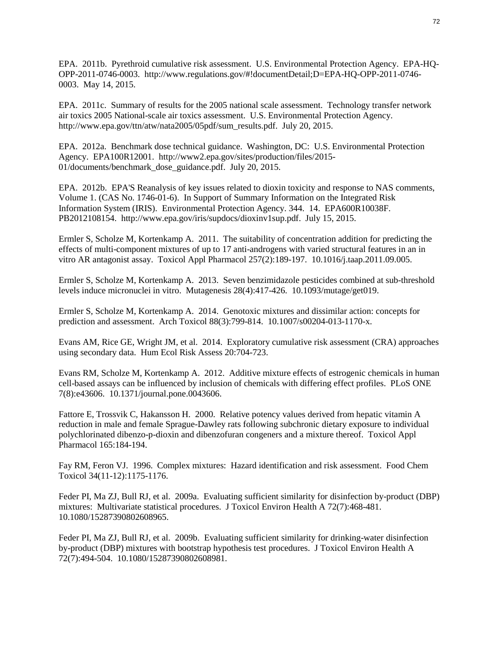EPA. 2011b. Pyrethroid cumulative risk assessment. U.S. Environmental Protection Agency. EPA-HQ-OPP-2011-0746-0003. http://www.regulations.gov/#!documentDetail;D=EPA-HQ-OPP-2011-0746- 0003. May 14, 2015.

EPA. 2011c. Summary of results for the 2005 national scale assessment. Technology transfer network air toxics 2005 National-scale air toxics assessment. U.S. Environmental Protection Agency. http://www.epa.gov/ttn/atw/nata2005/05pdf/sum\_results.pdf. July 20, 2015.

EPA. 2012a. Benchmark dose technical guidance. Washington, DC: U.S. Environmental Protection Agency. EPA100R12001. http://www2.epa.gov/sites/production/files/2015- 01/documents/benchmark\_dose\_guidance.pdf. July 20, 2015.

EPA. 2012b. EPA'S Reanalysis of key issues related to dioxin toxicity and response to NAS comments, Volume 1. (CAS No. 1746-01-6). In Support of Summary Information on the Integrated Risk Information System (IRIS). Environmental Protection Agency. 344. 14. EPA600R10038F. PB2012108154. http://www.epa.gov/iris/supdocs/dioxinv1sup.pdf. July 15, 2015.

Ermler S, Scholze M, Kortenkamp A. 2011. The suitability of concentration addition for predicting the effects of multi-component mixtures of up to 17 anti-androgens with varied structural features in an in vitro AR antagonist assay. Toxicol Appl Pharmacol 257(2):189-197. 10.1016/j.taap.2011.09.005.

Ermler S, Scholze M, Kortenkamp A. 2013. Seven benzimidazole pesticides combined at sub-threshold levels induce micronuclei in vitro. Mutagenesis 28(4):417-426. 10.1093/mutage/get019.

Ermler S, Scholze M, Kortenkamp A. 2014. Genotoxic mixtures and dissimilar action: concepts for prediction and assessment. Arch Toxicol 88(3):799-814. 10.1007/s00204-013-1170-x.

Evans AM, Rice GE, Wright JM, et al. 2014. Exploratory cumulative risk assessment (CRA) approaches using secondary data. Hum Ecol Risk Assess 20:704-723.

Evans RM, Scholze M, Kortenkamp A. 2012. Additive mixture effects of estrogenic chemicals in human cell-based assays can be influenced by inclusion of chemicals with differing effect profiles. PLoS ONE 7(8):e43606. 10.1371/journal.pone.0043606.

Fattore E, Trossvik C, Hakansson H. 2000. Relative potency values derived from hepatic vitamin A reduction in male and female Sprague-Dawley rats following subchronic dietary exposure to individual polychlorinated dibenzo-p-dioxin and dibenzofuran congeners and a mixture thereof. Toxicol Appl Pharmacol 165:184-194.

Fay RM, Feron VJ. 1996. Complex mixtures: Hazard identification and risk assessment. Food Chem Toxicol 34(11-12):1175-1176.

Feder PI, Ma ZJ, Bull RJ, et al. 2009a. Evaluating sufficient similarity for disinfection by-product (DBP) mixtures: Multivariate statistical procedures. J Toxicol Environ Health A 72(7):468-481. 10.1080/15287390802608965.

Feder PI, Ma ZJ, Bull RJ, et al. 2009b. Evaluating sufficient similarity for drinking-water disinfection by-product (DBP) mixtures with bootstrap hypothesis test procedures. J Toxicol Environ Health A 72(7):494-504. 10.1080/15287390802608981.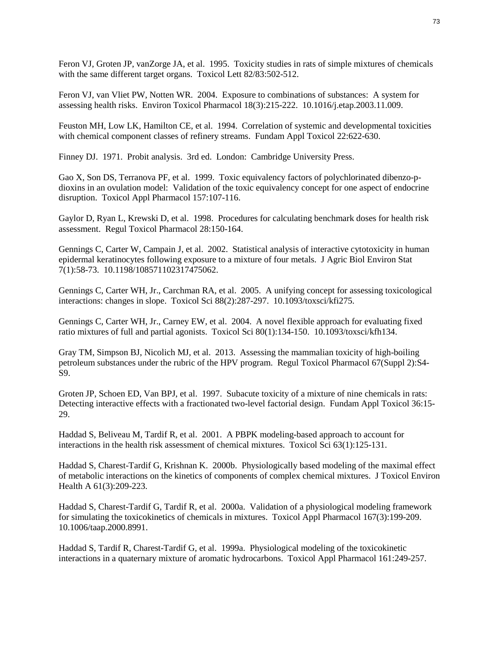Feron VJ, Groten JP, vanZorge JA, et al. 1995. Toxicity studies in rats of simple mixtures of chemicals with the same different target organs. Toxicol Lett 82/83:502-512.

Feron VJ, van Vliet PW, Notten WR. 2004. Exposure to combinations of substances: A system for assessing health risks. Environ Toxicol Pharmacol 18(3):215-222. 10.1016/j.etap.2003.11.009.

Feuston MH, Low LK, Hamilton CE, et al. 1994. Correlation of systemic and developmental toxicities with chemical component classes of refinery streams. Fundam Appl Toxicol 22:622-630.

Finney DJ. 1971. Probit analysis. 3rd ed. London: Cambridge University Press.

Gao X, Son DS, Terranova PF, et al. 1999. Toxic equivalency factors of polychlorinated dibenzo-pdioxins in an ovulation model: Validation of the toxic equivalency concept for one aspect of endocrine disruption. Toxicol Appl Pharmacol 157:107-116.

Gaylor D, Ryan L, Krewski D, et al. 1998. Procedures for calculating benchmark doses for health risk assessment. Regul Toxicol Pharmacol 28:150-164.

Gennings C, Carter W, Campain J, et al. 2002. Statistical analysis of interactive cytotoxicity in human epidermal keratinocytes following exposure to a mixture of four metals. J Agric Biol Environ Stat 7(1):58-73. 10.1198/108571102317475062.

Gennings C, Carter WH, Jr., Carchman RA, et al. 2005. A unifying concept for assessing toxicological interactions: changes in slope. Toxicol Sci 88(2):287-297. 10.1093/toxsci/kfi275.

Gennings C, Carter WH, Jr., Carney EW, et al. 2004. A novel flexible approach for evaluating fixed ratio mixtures of full and partial agonists. Toxicol Sci 80(1):134-150. 10.1093/toxsci/kfh134.

Gray TM, Simpson BJ, Nicolich MJ, et al. 2013. Assessing the mammalian toxicity of high-boiling petroleum substances under the rubric of the HPV program. Regul Toxicol Pharmacol 67(Suppl 2):S4- S9.

Groten JP, Schoen ED, Van BPJ, et al. 1997. Subacute toxicity of a mixture of nine chemicals in rats: Detecting interactive effects with a fractionated two-level factorial design. Fundam Appl Toxicol 36:15- 29.

Haddad S, Beliveau M, Tardif R, et al. 2001. A PBPK modeling-based approach to account for interactions in the health risk assessment of chemical mixtures. Toxicol Sci 63(1):125-131.

Haddad S, Charest-Tardif G, Krishnan K. 2000b. Physiologically based modeling of the maximal effect of metabolic interactions on the kinetics of components of complex chemical mixtures. J Toxicol Environ Health A 61(3):209-223.

Haddad S, Charest-Tardif G, Tardif R, et al. 2000a. Validation of a physiological modeling framework for simulating the toxicokinetics of chemicals in mixtures. Toxicol Appl Pharmacol 167(3):199-209. 10.1006/taap.2000.8991.

Haddad S, Tardif R, Charest-Tardif G, et al. 1999a. Physiological modeling of the toxicokinetic interactions in a quaternary mixture of aromatic hydrocarbons. Toxicol Appl Pharmacol 161:249-257.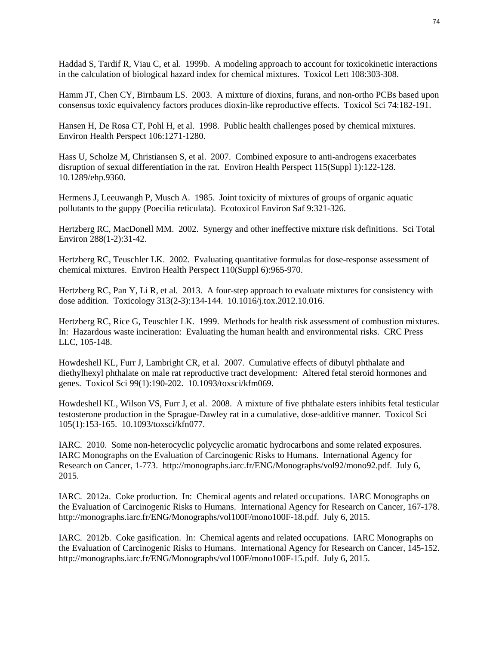Haddad S, Tardif R, Viau C, et al. 1999b. A modeling approach to account for toxicokinetic interactions in the calculation of biological hazard index for chemical mixtures. Toxicol Lett 108:303-308.

Hamm JT, Chen CY, Birnbaum LS. 2003. A mixture of dioxins, furans, and non-ortho PCBs based upon consensus toxic equivalency factors produces dioxin-like reproductive effects. Toxicol Sci 74:182-191.

Hansen H, De Rosa CT, Pohl H, et al. 1998. Public health challenges posed by chemical mixtures. Environ Health Perspect 106:1271-1280.

Hass U, Scholze M, Christiansen S, et al. 2007. Combined exposure to anti-androgens exacerbates disruption of sexual differentiation in the rat. Environ Health Perspect 115(Suppl 1):122-128. 10.1289/ehp.9360.

Hermens J, Leeuwangh P, Musch A. 1985. Joint toxicity of mixtures of groups of organic aquatic pollutants to the guppy (Poecilia reticulata). Ecotoxicol Environ Saf 9:321-326.

Hertzberg RC, MacDonell MM. 2002. Synergy and other ineffective mixture risk definitions. Sci Total Environ 288(1-2):31-42.

Hertzberg RC, Teuschler LK. 2002. Evaluating quantitative formulas for dose-response assessment of chemical mixtures. Environ Health Perspect 110(Suppl 6):965-970.

Hertzberg RC, Pan Y, Li R, et al. 2013. A four-step approach to evaluate mixtures for consistency with dose addition. Toxicology 313(2-3):134-144. 10.1016/j.tox.2012.10.016.

Hertzberg RC, Rice G, Teuschler LK. 1999. Methods for health risk assessment of combustion mixtures. In: Hazardous waste incineration: Evaluating the human health and environmental risks. CRC Press LLC, 105-148.

Howdeshell KL, Furr J, Lambright CR, et al. 2007. Cumulative effects of dibutyl phthalate and diethylhexyl phthalate on male rat reproductive tract development: Altered fetal steroid hormones and genes. Toxicol Sci 99(1):190-202. 10.1093/toxsci/kfm069.

Howdeshell KL, Wilson VS, Furr J, et al. 2008. A mixture of five phthalate esters inhibits fetal testicular testosterone production in the Sprague-Dawley rat in a cumulative, dose-additive manner. Toxicol Sci 105(1):153-165. 10.1093/toxsci/kfn077.

IARC. 2010. Some non-heterocyclic polycyclic aromatic hydrocarbons and some related exposures. IARC Monographs on the Evaluation of Carcinogenic Risks to Humans. International Agency for Research on Cancer, 1-773. http://monographs.iarc.fr/ENG/Monographs/vol92/mono92.pdf. July 6, 2015.

IARC. 2012a. Coke production. In: Chemical agents and related occupations. IARC Monographs on the Evaluation of Carcinogenic Risks to Humans. International Agency for Research on Cancer, 167-178. http://monographs.iarc.fr/ENG/Monographs/vol100F/mono100F-18.pdf. July 6, 2015.

IARC. 2012b. Coke gasification. In: Chemical agents and related occupations. IARC Monographs on the Evaluation of Carcinogenic Risks to Humans. International Agency for Research on Cancer, 145-152. http://monographs.iarc.fr/ENG/Monographs/vol100F/mono100F-15.pdf. July 6, 2015.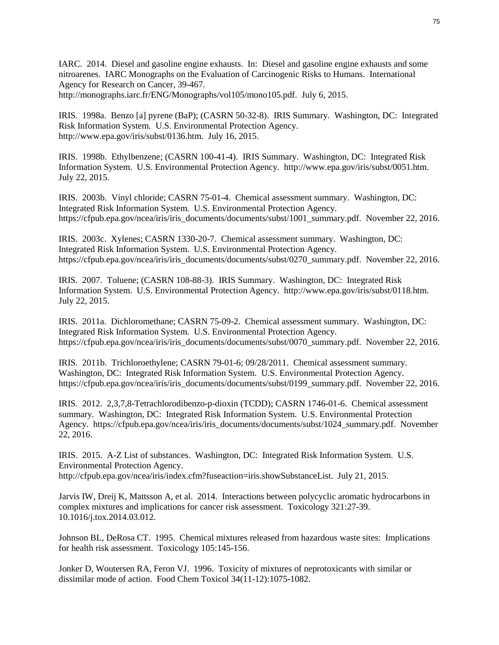IARC. 2014. Diesel and gasoline engine exhausts. In: Diesel and gasoline engine exhausts and some nitroarenes. IARC Monographs on the Evaluation of Carcinogenic Risks to Humans. International Agency for Research on Cancer, 39-467. http://monographs.iarc.fr/ENG/Monographs/vol105/mono105.pdf. July 6, 2015.

IRIS. 1998a. Benzo [a] pyrene (BaP); (CASRN 50-32-8). IRIS Summary. Washington, DC: Integrated Risk Information System. U.S. Environmental Protection Agency. http://www.epa.gov/iris/subst/0136.htm. July 16, 2015.

IRIS. 1998b. Ethylbenzene; (CASRN 100-41-4). IRIS Summary. Washington, DC: Integrated Risk Information System. U.S. Environmental Protection Agency. http://www.epa.gov/iris/subst/0051.htm. July 22, 2015.

IRIS. 2003b. Vinyl chloride; CASRN 75-01-4. Chemical assessment summary. Washington, DC: Integrated Risk Information System. U.S. Environmental Protection Agency. https://cfpub.epa.gov/ncea/iris/iris\_documents/documents/subst/1001\_summary.pdf. November 22, 2016.

IRIS. 2003c. Xylenes; CASRN 1330-20-7. Chemical assessment summary. Washington, DC: Integrated Risk Information System. U.S. Environmental Protection Agency. https://cfpub.epa.gov/ncea/iris/iris\_documents/documents/subst/0270\_summary.pdf. November 22, 2016.

IRIS. 2007. Toluene; (CASRN 108-88-3). IRIS Summary. Washington, DC: Integrated Risk Information System. U.S. Environmental Protection Agency. http://www.epa.gov/iris/subst/0118.htm. July 22, 2015.

IRIS. 2011a. Dichloromethane; CASRN 75-09-2. Chemical assessment summary. Washington, DC: Integrated Risk Information System. U.S. Environmental Protection Agency. https://cfpub.epa.gov/ncea/iris/iris\_documents/documents/subst/0070\_summary.pdf. November 22, 2016.

IRIS. 2011b. Trichloroethylene; CASRN 79-01-6; 09/28/2011. Chemical assessment summary. Washington, DC: Integrated Risk Information System. U.S. Environmental Protection Agency. https://cfpub.epa.gov/ncea/iris/iris\_documents/documents/subst/0199\_summary.pdf. November 22, 2016.

IRIS. 2012. 2,3,7,8-Tetrachlorodibenzo-p-dioxin (TCDD); CASRN 1746-01-6. Chemical assessment summary. Washington, DC: Integrated Risk Information System. U.S. Environmental Protection Agency. https://cfpub.epa.gov/ncea/iris/iris\_documents/documents/subst/1024\_summary.pdf. November 22, 2016.

IRIS. 2015. A-Z List of substances. Washington, DC: Integrated Risk Information System. U.S. Environmental Protection Agency.

http://cfpub.epa.gov/ncea/iris/index.cfm?fuseaction=iris.showSubstanceList. July 21, 2015.

Jarvis IW, Dreij K, Mattsson A, et al. 2014. Interactions between polycyclic aromatic hydrocarbons in complex mixtures and implications for cancer risk assessment. Toxicology 321:27-39. 10.1016/j.tox.2014.03.012.

Johnson BL, DeRosa CT. 1995. Chemical mixtures released from hazardous waste sites: Implications for health risk assessment. Toxicology 105:145-156.

Jonker D, Woutersen RA, Feron VJ. 1996. Toxicity of mixtures of neprotoxicants with similar or dissimilar mode of action. Food Chem Toxicol 34(11-12):1075-1082.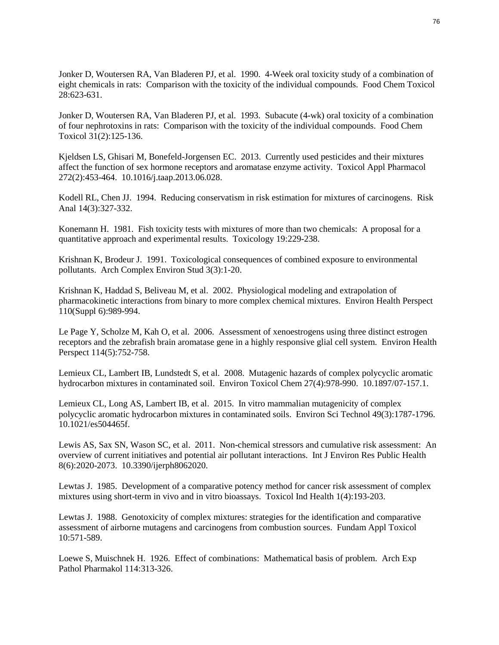Jonker D, Woutersen RA, Van Bladeren PJ, et al. 1990. 4-Week oral toxicity study of a combination of eight chemicals in rats: Comparison with the toxicity of the individual compounds. Food Chem Toxicol 28:623-631.

Jonker D, Woutersen RA, Van Bladeren PJ, et al. 1993. Subacute (4-wk) oral toxicity of a combination of four nephrotoxins in rats: Comparison with the toxicity of the individual compounds. Food Chem Toxicol 31(2):125-136.

Kjeldsen LS, Ghisari M, Bonefeld-Jorgensen EC. 2013. Currently used pesticides and their mixtures affect the function of sex hormone receptors and aromatase enzyme activity. Toxicol Appl Pharmacol 272(2):453-464. 10.1016/j.taap.2013.06.028.

Kodell RL, Chen JJ. 1994. Reducing conservatism in risk estimation for mixtures of carcinogens. Risk Anal 14(3):327-332.

Konemann H. 1981. Fish toxicity tests with mixtures of more than two chemicals: A proposal for a quantitative approach and experimental results. Toxicology 19:229-238.

Krishnan K, Brodeur J. 1991. Toxicological consequences of combined exposure to environmental pollutants. Arch Complex Environ Stud 3(3):1-20.

Krishnan K, Haddad S, Beliveau M, et al. 2002. Physiological modeling and extrapolation of pharmacokinetic interactions from binary to more complex chemical mixtures. Environ Health Perspect 110(Suppl 6):989-994.

Le Page Y, Scholze M, Kah O, et al. 2006. Assessment of xenoestrogens using three distinct estrogen receptors and the zebrafish brain aromatase gene in a highly responsive glial cell system. Environ Health Perspect 114(5):752-758.

Lemieux CL, Lambert IB, Lundstedt S, et al. 2008. Mutagenic hazards of complex polycyclic aromatic hydrocarbon mixtures in contaminated soil. Environ Toxicol Chem 27(4):978-990. 10.1897/07-157.1.

Lemieux CL, Long AS, Lambert IB, et al. 2015. In vitro mammalian mutagenicity of complex polycyclic aromatic hydrocarbon mixtures in contaminated soils. Environ Sci Technol 49(3):1787-1796. 10.1021/es504465f.

Lewis AS, Sax SN, Wason SC, et al. 2011. Non-chemical stressors and cumulative risk assessment: An overview of current initiatives and potential air pollutant interactions. Int J Environ Res Public Health 8(6):2020-2073. 10.3390/ijerph8062020.

Lewtas J. 1985. Development of a comparative potency method for cancer risk assessment of complex mixtures using short-term in vivo and in vitro bioassays. Toxicol Ind Health 1(4):193-203.

Lewtas J. 1988. Genotoxicity of complex mixtures: strategies for the identification and comparative assessment of airborne mutagens and carcinogens from combustion sources. Fundam Appl Toxicol 10:571-589.

Loewe S, Muischnek H. 1926. Effect of combinations: Mathematical basis of problem. Arch Exp Pathol Pharmakol 114:313-326.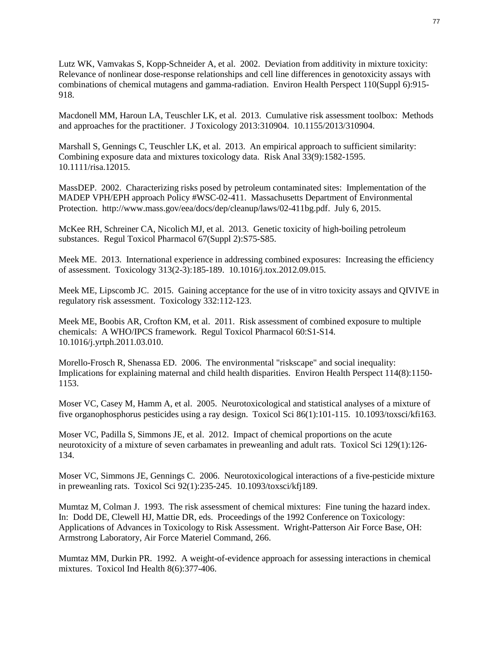Lutz WK, Vamvakas S, Kopp-Schneider A, et al. 2002. Deviation from additivity in mixture toxicity: Relevance of nonlinear dose-response relationships and cell line differences in genotoxicity assays with combinations of chemical mutagens and gamma-radiation. Environ Health Perspect 110(Suppl 6):915- 918.

Macdonell MM, Haroun LA, Teuschler LK, et al. 2013. Cumulative risk assessment toolbox: Methods and approaches for the practitioner. J Toxicology 2013:310904. 10.1155/2013/310904.

Marshall S, Gennings C, Teuschler LK, et al. 2013. An empirical approach to sufficient similarity: Combining exposure data and mixtures toxicology data. Risk Anal 33(9):1582-1595. 10.1111/risa.12015.

MassDEP. 2002. Characterizing risks posed by petroleum contaminated sites: Implementation of the MADEP VPH/EPH approach Policy #WSC-02-411. Massachusetts Department of Environmental Protection. http://www.mass.gov/eea/docs/dep/cleanup/laws/02-411bg.pdf. July 6, 2015.

McKee RH, Schreiner CA, Nicolich MJ, et al. 2013. Genetic toxicity of high-boiling petroleum substances. Regul Toxicol Pharmacol 67(Suppl 2):S75-S85.

Meek ME. 2013. International experience in addressing combined exposures: Increasing the efficiency of assessment. Toxicology 313(2-3):185-189. 10.1016/j.tox.2012.09.015.

Meek ME, Lipscomb JC. 2015. Gaining acceptance for the use of in vitro toxicity assays and QIVIVE in regulatory risk assessment. Toxicology 332:112-123.

Meek ME, Boobis AR, Crofton KM, et al. 2011. Risk assessment of combined exposure to multiple chemicals: A WHO/IPCS framework. Regul Toxicol Pharmacol 60:S1-S14. 10.1016/j.yrtph.2011.03.010.

Morello-Frosch R, Shenassa ED. 2006. The environmental "riskscape" and social inequality: Implications for explaining maternal and child health disparities. Environ Health Perspect 114(8):1150- 1153.

Moser VC, Casey M, Hamm A, et al. 2005. Neurotoxicological and statistical analyses of a mixture of five organophosphorus pesticides using a ray design. Toxicol Sci 86(1):101-115. 10.1093/toxsci/kfi163.

Moser VC, Padilla S, Simmons JE, et al. 2012. Impact of chemical proportions on the acute neurotoxicity of a mixture of seven carbamates in preweanling and adult rats. Toxicol Sci 129(1):126- 134.

Moser VC, Simmons JE, Gennings C. 2006. Neurotoxicological interactions of a five-pesticide mixture in preweanling rats. Toxicol Sci 92(1):235-245. 10.1093/toxsci/kfj189.

Mumtaz M, Colman J. 1993. The risk assessment of chemical mixtures: Fine tuning the hazard index. In: Dodd DE, Clewell HJ, Mattie DR, eds. Proceedings of the 1992 Conference on Toxicology: Applications of Advances in Toxicology to Risk Assessment. Wright-Patterson Air Force Base, OH: Armstrong Laboratory, Air Force Materiel Command, 266.

Mumtaz MM, Durkin PR. 1992. A weight-of-evidence approach for assessing interactions in chemical mixtures. Toxicol Ind Health 8(6):377-406.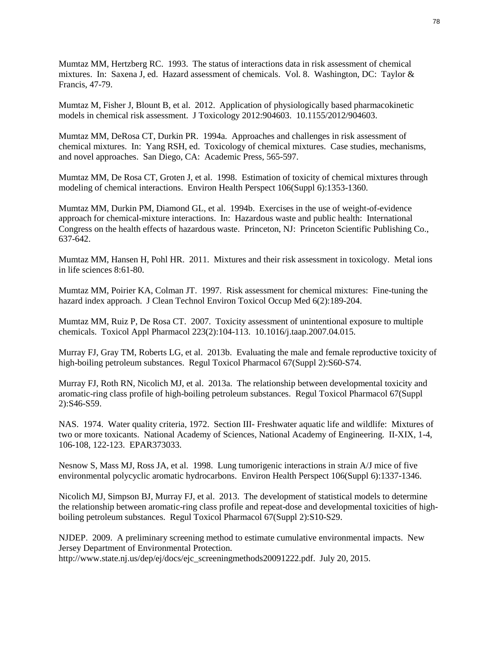Mumtaz MM, Hertzberg RC. 1993. The status of interactions data in risk assessment of chemical mixtures. In: Saxena J, ed. Hazard assessment of chemicals. Vol. 8. Washington, DC: Taylor & Francis, 47-79.

Mumtaz M, Fisher J, Blount B, et al. 2012. Application of physiologically based pharmacokinetic models in chemical risk assessment. J Toxicology 2012:904603. 10.1155/2012/904603.

Mumtaz MM, DeRosa CT, Durkin PR. 1994a. Approaches and challenges in risk assessment of chemical mixtures. In: Yang RSH, ed. Toxicology of chemical mixtures. Case studies, mechanisms, and novel approaches. San Diego, CA: Academic Press, 565-597.

Mumtaz MM, De Rosa CT, Groten J, et al. 1998. Estimation of toxicity of chemical mixtures through modeling of chemical interactions. Environ Health Perspect 106(Suppl 6):1353-1360.

Mumtaz MM, Durkin PM, Diamond GL, et al. 1994b. Exercises in the use of weight-of-evidence approach for chemical-mixture interactions. In: Hazardous waste and public health: International Congress on the health effects of hazardous waste. Princeton, NJ: Princeton Scientific Publishing Co., 637-642.

Mumtaz MM, Hansen H, Pohl HR. 2011. Mixtures and their risk assessment in toxicology. Metal ions in life sciences 8:61-80.

Mumtaz MM, Poirier KA, Colman JT. 1997. Risk assessment for chemical mixtures: Fine-tuning the hazard index approach. J Clean Technol Environ Toxicol Occup Med 6(2):189-204.

Mumtaz MM, Ruiz P, De Rosa CT. 2007. Toxicity assessment of unintentional exposure to multiple chemicals. Toxicol Appl Pharmacol 223(2):104-113. 10.1016/j.taap.2007.04.015.

Murray FJ, Gray TM, Roberts LG, et al. 2013b. Evaluating the male and female reproductive toxicity of high-boiling petroleum substances. Regul Toxicol Pharmacol 67(Suppl 2):S60-S74.

Murray FJ, Roth RN, Nicolich MJ, et al. 2013a. The relationship between developmental toxicity and aromatic-ring class profile of high-boiling petroleum substances. Regul Toxicol Pharmacol 67(Suppl 2):S46-S59.

NAS. 1974. Water quality criteria, 1972. Section III- Freshwater aquatic life and wildlife: Mixtures of two or more toxicants. National Academy of Sciences, National Academy of Engineering. II-XIX, 1-4, 106-108, 122-123. EPAR373033.

Nesnow S, Mass MJ, Ross JA, et al. 1998. Lung tumorigenic interactions in strain A/J mice of five environmental polycyclic aromatic hydrocarbons. Environ Health Perspect 106(Suppl 6):1337-1346.

Nicolich MJ, Simpson BJ, Murray FJ, et al. 2013. The development of statistical models to determine the relationship between aromatic-ring class profile and repeat-dose and developmental toxicities of highboiling petroleum substances. Regul Toxicol Pharmacol 67(Suppl 2):S10-S29.

NJDEP. 2009. A preliminary screening method to estimate cumulative environmental impacts. New Jersey Department of Environmental Protection.

http://www.state.nj.us/dep/ej/docs/ejc\_screeningmethods20091222.pdf. July 20, 2015.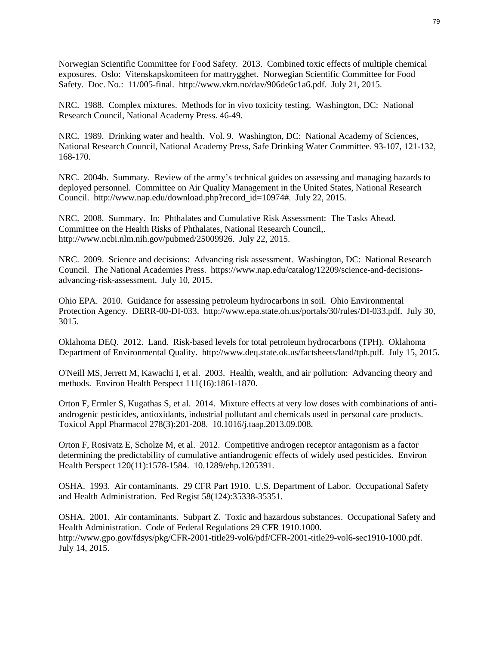Norwegian Scientific Committee for Food Safety. 2013. Combined toxic effects of multiple chemical exposures. Oslo: Vitenskapskomiteen for mattrygghet. Norwegian Scientific Committee for Food Safety. Doc. No.: 11/005-final. http://www.vkm.no/dav/906de6c1a6.pdf. July 21, 2015.

NRC. 1988. Complex mixtures. Methods for in vivo toxicity testing. Washington, DC: National Research Council, National Academy Press. 46-49.

NRC. 1989. Drinking water and health. Vol. 9. Washington, DC: National Academy of Sciences, National Research Council, National Academy Press, Safe Drinking Water Committee. 93-107, 121-132, 168-170.

NRC. 2004b. Summary. Review of the army's technical guides on assessing and managing hazards to deployed personnel. Committee on Air Quality Management in the United States, National Research Council. http://www.nap.edu/download.php?record\_id=10974#. July 22, 2015.

NRC. 2008. Summary. In: Phthalates and Cumulative Risk Assessment: The Tasks Ahead. Committee on the Health Risks of Phthalates, National Research Council,. http://www.ncbi.nlm.nih.gov/pubmed/25009926. July 22, 2015.

NRC. 2009. Science and decisions: Advancing risk assessment. Washington, DC: National Research Council. The National Academies Press. https://www.nap.edu/catalog/12209/science-and-decisionsadvancing-risk-assessment. July 10, 2015.

Ohio EPA. 2010. Guidance for assessing petroleum hydrocarbons in soil. Ohio Environmental Protection Agency. DERR-00-DI-033. http://www.epa.state.oh.us/portals/30/rules/DI-033.pdf. July 30, 3015.

Oklahoma DEQ. 2012. Land. Risk-based levels for total petroleum hydrocarbons (TPH). Oklahoma Department of Environmental Quality. http://www.deq.state.ok.us/factsheets/land/tph.pdf. July 15, 2015.

O'Neill MS, Jerrett M, Kawachi I, et al. 2003. Health, wealth, and air pollution: Advancing theory and methods. Environ Health Perspect 111(16):1861-1870.

Orton F, Ermler S, Kugathas S, et al. 2014. Mixture effects at very low doses with combinations of antiandrogenic pesticides, antioxidants, industrial pollutant and chemicals used in personal care products. Toxicol Appl Pharmacol 278(3):201-208. 10.1016/j.taap.2013.09.008.

Orton F, Rosivatz E, Scholze M, et al. 2012. Competitive androgen receptor antagonism as a factor determining the predictability of cumulative antiandrogenic effects of widely used pesticides. Environ Health Perspect 120(11):1578-1584. 10.1289/ehp.1205391.

OSHA. 1993. Air contaminants. 29 CFR Part 1910. U.S. Department of Labor. Occupational Safety and Health Administration. Fed Regist 58(124):35338-35351.

OSHA. 2001. Air contaminants. Subpart Z. Toxic and hazardous substances. Occupational Safety and Health Administration. Code of Federal Regulations 29 CFR 1910.1000. http://www.gpo.gov/fdsys/pkg/CFR-2001-title29-vol6/pdf/CFR-2001-title29-vol6-sec1910-1000.pdf. July 14, 2015.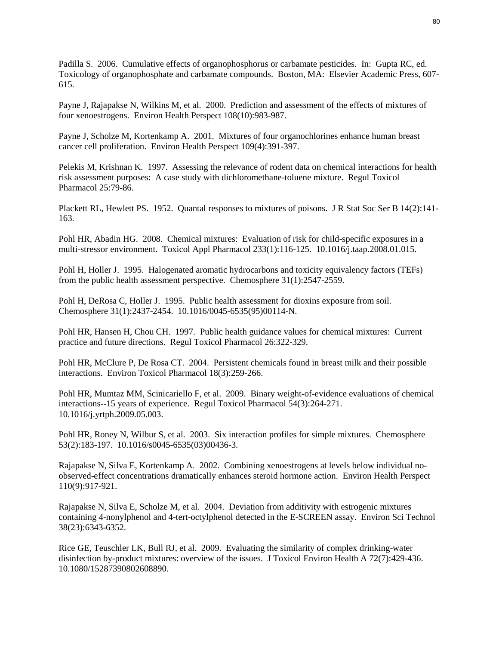Padilla S. 2006. Cumulative effects of organophosphorus or carbamate pesticides. In: Gupta RC, ed. Toxicology of organophosphate and carbamate compounds. Boston, MA: Elsevier Academic Press, 607- 615.

Payne J, Rajapakse N, Wilkins M, et al. 2000. Prediction and assessment of the effects of mixtures of four xenoestrogens. Environ Health Perspect 108(10):983-987.

Payne J, Scholze M, Kortenkamp A. 2001. Mixtures of four organochlorines enhance human breast cancer cell proliferation. Environ Health Perspect 109(4):391-397.

Pelekis M, Krishnan K. 1997. Assessing the relevance of rodent data on chemical interactions for health risk assessment purposes: A case study with dichloromethane-toluene mixture. Regul Toxicol Pharmacol 25:79-86.

Plackett RL, Hewlett PS. 1952. Quantal responses to mixtures of poisons. J R Stat Soc Ser B 14(2):141- 163.

Pohl HR, Abadin HG. 2008. Chemical mixtures: Evaluation of risk for child-specific exposures in a multi-stressor environment. Toxicol Appl Pharmacol 233(1):116-125. 10.1016/j.taap.2008.01.015.

Pohl H, Holler J. 1995. Halogenated aromatic hydrocarbons and toxicity equivalency factors (TEFs) from the public health assessment perspective. Chemosphere 31(1):2547-2559.

Pohl H, DeRosa C, Holler J. 1995. Public health assessment for dioxins exposure from soil. Chemosphere 31(1):2437-2454. 10.1016/0045-6535(95)00114-N.

Pohl HR, Hansen H, Chou CH. 1997. Public health guidance values for chemical mixtures: Current practice and future directions. Regul Toxicol Pharmacol 26:322-329.

Pohl HR, McClure P, De Rosa CT. 2004. Persistent chemicals found in breast milk and their possible interactions. Environ Toxicol Pharmacol 18(3):259-266.

Pohl HR, Mumtaz MM, Scinicariello F, et al. 2009. Binary weight-of-evidence evaluations of chemical interactions--15 years of experience. Regul Toxicol Pharmacol 54(3):264-271. 10.1016/j.yrtph.2009.05.003.

Pohl HR, Roney N, Wilbur S, et al. 2003. Six interaction profiles for simple mixtures. Chemosphere 53(2):183-197. 10.1016/s0045-6535(03)00436-3.

Rajapakse N, Silva E, Kortenkamp A. 2002. Combining xenoestrogens at levels below individual noobserved-effect concentrations dramatically enhances steroid hormone action. Environ Health Perspect 110(9):917-921.

Rajapakse N, Silva E, Scholze M, et al. 2004. Deviation from additivity with estrogenic mixtures containing 4-nonylphenol and 4-tert-octylphenol detected in the E-SCREEN assay. Environ Sci Technol 38(23):6343-6352.

Rice GE, Teuschler LK, Bull RJ, et al. 2009. Evaluating the similarity of complex drinking-water disinfection by-product mixtures: overview of the issues. J Toxicol Environ Health A 72(7):429-436. 10.1080/15287390802608890.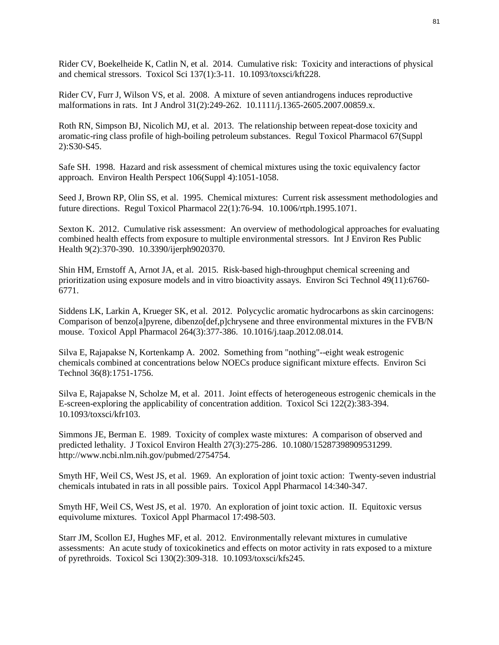Rider CV, Boekelheide K, Catlin N, et al. 2014. Cumulative risk: Toxicity and interactions of physical and chemical stressors. Toxicol Sci 137(1):3-11. 10.1093/toxsci/kft228.

Rider CV, Furr J, Wilson VS, et al. 2008. A mixture of seven antiandrogens induces reproductive malformations in rats. Int J Androl 31(2):249-262. 10.1111/j.1365-2605.2007.00859.x.

Roth RN, Simpson BJ, Nicolich MJ, et al. 2013. The relationship between repeat-dose toxicity and aromatic-ring class profile of high-boiling petroleum substances. Regul Toxicol Pharmacol 67(Suppl 2):S30-S45.

Safe SH. 1998. Hazard and risk assessment of chemical mixtures using the toxic equivalency factor approach. Environ Health Perspect 106(Suppl 4):1051-1058.

Seed J, Brown RP, Olin SS, et al. 1995. Chemical mixtures: Current risk assessment methodologies and future directions. Regul Toxicol Pharmacol 22(1):76-94. 10.1006/rtph.1995.1071.

Sexton K. 2012. Cumulative risk assessment: An overview of methodological approaches for evaluating combined health effects from exposure to multiple environmental stressors. Int J Environ Res Public Health 9(2):370-390. 10.3390/ijerph9020370.

Shin HM, Ernstoff A, Arnot JA, et al. 2015. Risk-based high-throughput chemical screening and prioritization using exposure models and in vitro bioactivity assays. Environ Sci Technol 49(11):6760- 6771.

Siddens LK, Larkin A, Krueger SK, et al. 2012. Polycyclic aromatic hydrocarbons as skin carcinogens: Comparison of benzo[a]pyrene, dibenzo[def,p]chrysene and three environmental mixtures in the FVB/N mouse. Toxicol Appl Pharmacol 264(3):377-386. 10.1016/j.taap.2012.08.014.

Silva E, Rajapakse N, Kortenkamp A. 2002. Something from "nothing"--eight weak estrogenic chemicals combined at concentrations below NOECs produce significant mixture effects. Environ Sci Technol 36(8):1751-1756.

Silva E, Rajapakse N, Scholze M, et al. 2011. Joint effects of heterogeneous estrogenic chemicals in the E-screen-exploring the applicability of concentration addition. Toxicol Sci 122(2):383-394. 10.1093/toxsci/kfr103.

Simmons JE, Berman E. 1989. Toxicity of complex waste mixtures: A comparison of observed and predicted lethality. J Toxicol Environ Health 27(3):275-286. 10.1080/15287398909531299. http://www.ncbi.nlm.nih.gov/pubmed/2754754.

Smyth HF, Weil CS, West JS, et al. 1969. An exploration of joint toxic action: Twenty-seven industrial chemicals intubated in rats in all possible pairs. Toxicol Appl Pharmacol 14:340-347.

Smyth HF, Weil CS, West JS, et al. 1970. An exploration of joint toxic action. II. Equitoxic versus equivolume mixtures. Toxicol Appl Pharmacol 17:498-503.

Starr JM, Scollon EJ, Hughes MF, et al. 2012. Environmentally relevant mixtures in cumulative assessments: An acute study of toxicokinetics and effects on motor activity in rats exposed to a mixture of pyrethroids. Toxicol Sci 130(2):309-318. 10.1093/toxsci/kfs245.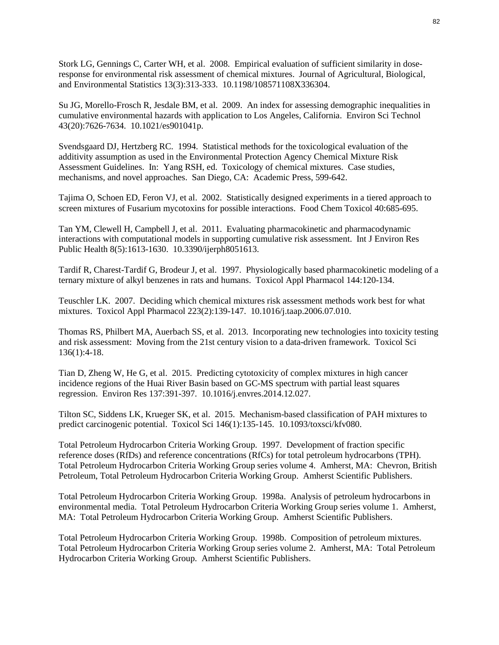Stork LG, Gennings C, Carter WH, et al. 2008. Empirical evaluation of sufficient similarity in doseresponse for environmental risk assessment of chemical mixtures. Journal of Agricultural, Biological, and Environmental Statistics 13(3):313-333. 10.1198/108571108X336304.

Su JG, Morello-Frosch R, Jesdale BM, et al. 2009. An index for assessing demographic inequalities in cumulative environmental hazards with application to Los Angeles, California. Environ Sci Technol 43(20):7626-7634. 10.1021/es901041p.

Svendsgaard DJ, Hertzberg RC. 1994. Statistical methods for the toxicological evaluation of the additivity assumption as used in the Environmental Protection Agency Chemical Mixture Risk Assessment Guidelines. In: Yang RSH, ed. Toxicology of chemical mixtures. Case studies, mechanisms, and novel approaches. San Diego, CA: Academic Press, 599-642.

Tajima O, Schoen ED, Feron VJ, et al. 2002. Statistically designed experiments in a tiered approach to screen mixtures of Fusarium mycotoxins for possible interactions. Food Chem Toxicol 40:685-695.

Tan YM, Clewell H, Campbell J, et al. 2011. Evaluating pharmacokinetic and pharmacodynamic interactions with computational models in supporting cumulative risk assessment. Int J Environ Res Public Health 8(5):1613-1630. 10.3390/ijerph8051613.

Tardif R, Charest-Tardif G, Brodeur J, et al. 1997. Physiologically based pharmacokinetic modeling of a ternary mixture of alkyl benzenes in rats and humans. Toxicol Appl Pharmacol 144:120-134.

Teuschler LK. 2007. Deciding which chemical mixtures risk assessment methods work best for what mixtures. Toxicol Appl Pharmacol 223(2):139-147. 10.1016/j.taap.2006.07.010.

Thomas RS, Philbert MA, Auerbach SS, et al. 2013. Incorporating new technologies into toxicity testing and risk assessment: Moving from the 21st century vision to a data-driven framework. Toxicol Sci 136(1):4-18.

Tian D, Zheng W, He G, et al. 2015. Predicting cytotoxicity of complex mixtures in high cancer incidence regions of the Huai River Basin based on GC-MS spectrum with partial least squares regression. Environ Res 137:391-397. 10.1016/j.envres.2014.12.027.

Tilton SC, Siddens LK, Krueger SK, et al. 2015. Mechanism-based classification of PAH mixtures to predict carcinogenic potential. Toxicol Sci 146(1):135-145. 10.1093/toxsci/kfv080.

Total Petroleum Hydrocarbon Criteria Working Group. 1997. Development of fraction specific reference doses (RfDs) and reference concentrations (RfCs) for total petroleum hydrocarbons (TPH). Total Petroleum Hydrocarbon Criteria Working Group series volume 4. Amherst, MA: Chevron, British Petroleum, Total Petroleum Hydrocarbon Criteria Working Group. Amherst Scientific Publishers.

Total Petroleum Hydrocarbon Criteria Working Group. 1998a. Analysis of petroleum hydrocarbons in environmental media. Total Petroleum Hydrocarbon Criteria Working Group series volume 1. Amherst, MA: Total Petroleum Hydrocarbon Criteria Working Group. Amherst Scientific Publishers.

Total Petroleum Hydrocarbon Criteria Working Group. 1998b. Composition of petroleum mixtures. Total Petroleum Hydrocarbon Criteria Working Group series volume 2. Amherst, MA: Total Petroleum Hydrocarbon Criteria Working Group. Amherst Scientific Publishers.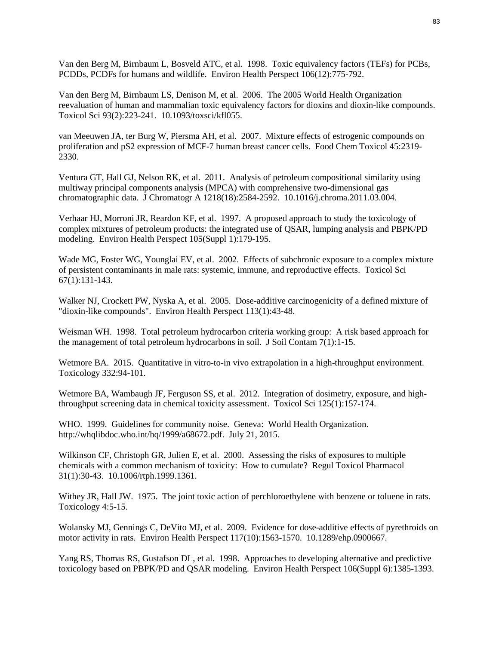Van den Berg M, Birnbaum L, Bosveld ATC, et al. 1998. Toxic equivalency factors (TEFs) for PCBs, PCDDs, PCDFs for humans and wildlife. Environ Health Perspect 106(12):775-792.

Van den Berg M, Birnbaum LS, Denison M, et al. 2006. The 2005 World Health Organization reevaluation of human and mammalian toxic equivalency factors for dioxins and dioxin-like compounds. Toxicol Sci 93(2):223-241. 10.1093/toxsci/kfl055.

van Meeuwen JA, ter Burg W, Piersma AH, et al. 2007. Mixture effects of estrogenic compounds on proliferation and pS2 expression of MCF-7 human breast cancer cells. Food Chem Toxicol 45:2319- 2330.

Ventura GT, Hall GJ, Nelson RK, et al. 2011. Analysis of petroleum compositional similarity using multiway principal components analysis (MPCA) with comprehensive two-dimensional gas chromatographic data. J Chromatogr A 1218(18):2584-2592. 10.1016/j.chroma.2011.03.004.

Verhaar HJ, Morroni JR, Reardon KF, et al. 1997. A proposed approach to study the toxicology of complex mixtures of petroleum products: the integrated use of QSAR, lumping analysis and PBPK/PD modeling. Environ Health Perspect 105(Suppl 1):179-195.

Wade MG, Foster WG, Younglai EV, et al. 2002. Effects of subchronic exposure to a complex mixture of persistent contaminants in male rats: systemic, immune, and reproductive effects. Toxicol Sci 67(1):131-143.

Walker NJ, Crockett PW, Nyska A, et al. 2005. Dose-additive carcinogenicity of a defined mixture of "dioxin-like compounds". Environ Health Perspect 113(1):43-48.

Weisman WH. 1998. Total petroleum hydrocarbon criteria working group: A risk based approach for the management of total petroleum hydrocarbons in soil. J Soil Contam 7(1):1-15.

Wetmore BA. 2015. Quantitative in vitro-to-in vivo extrapolation in a high-throughput environment. Toxicology 332:94-101.

Wetmore BA, Wambaugh JF, Ferguson SS, et al. 2012. Integration of dosimetry, exposure, and highthroughput screening data in chemical toxicity assessment. Toxicol Sci 125(1):157-174.

WHO. 1999. Guidelines for community noise. Geneva: World Health Organization. http://whqlibdoc.who.int/hq/1999/a68672.pdf. July 21, 2015.

Wilkinson CF, Christoph GR, Julien E, et al. 2000. Assessing the risks of exposures to multiple chemicals with a common mechanism of toxicity: How to cumulate? Regul Toxicol Pharmacol 31(1):30-43. 10.1006/rtph.1999.1361.

Withey JR, Hall JW. 1975. The joint toxic action of perchloroethylene with benzene or toluene in rats. Toxicology 4:5-15.

Wolansky MJ, Gennings C, DeVito MJ, et al. 2009. Evidence for dose-additive effects of pyrethroids on motor activity in rats. Environ Health Perspect 117(10):1563-1570. 10.1289/ehp.0900667.

Yang RS, Thomas RS, Gustafson DL, et al. 1998. Approaches to developing alternative and predictive toxicology based on PBPK/PD and QSAR modeling. Environ Health Perspect 106(Suppl 6):1385-1393.